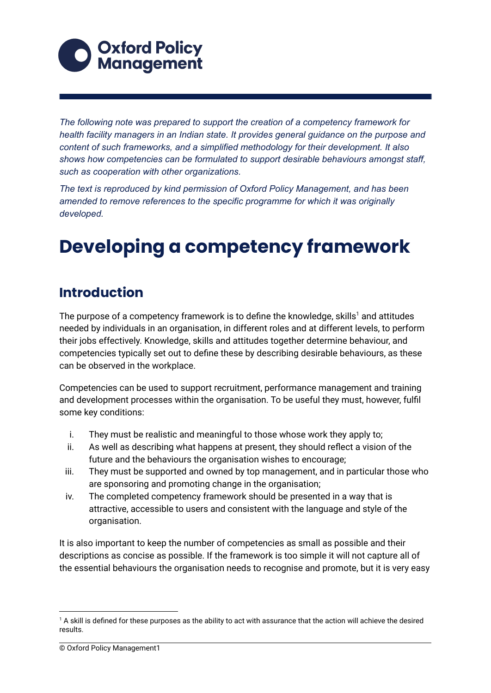

*The following note was prepared to support the creation of a competency framework for health facility managers in an Indian state. It provides general guidance on the purpose and content of such frameworks, and a simplified methodology for their development. It also shows how competencies can be formulated to support desirable behaviours amongst staff, such as cooperation with other organizations.*

*The text is reproduced by kind permission of Oxford Policy Management, and has been amended to remove references to the specific programme for which it was originally developed.*

# **Developing a competency framework**

# **Introduction**

The purpose of a competency framework is to define the knowledge, skills<sup>1</sup> and attitudes needed by individuals in an organisation, in different roles and at different levels, to perform their jobs effectively. Knowledge, skills and attitudes together determine behaviour, and competencies typically set out to define these by describing desirable behaviours, as these can be observed in the workplace.

Competencies can be used to support recruitment, performance management and training and development processes within the organisation. To be useful they must, however, fulfil some key conditions:

- i. They must be realistic and meaningful to those whose work they apply to;
- ii. As well as describing what happens at present, they should reflect a vision of the future and the behaviours the organisation wishes to encourage;
- iii. They must be supported and owned by top management, and in particular those who are sponsoring and promoting change in the organisation;
- iv. The completed competency framework should be presented in a way that is attractive, accessible to users and consistent with the language and style of the organisation.

It is also important to keep the number of competencies as small as possible and their descriptions as concise as possible. If the framework is too simple it will not capture all of the essential behaviours the organisation needs to recognise and promote, but it is very easy

 $1$  A skill is defined for these purposes as the ability to act with assurance that the action will achieve the desired results.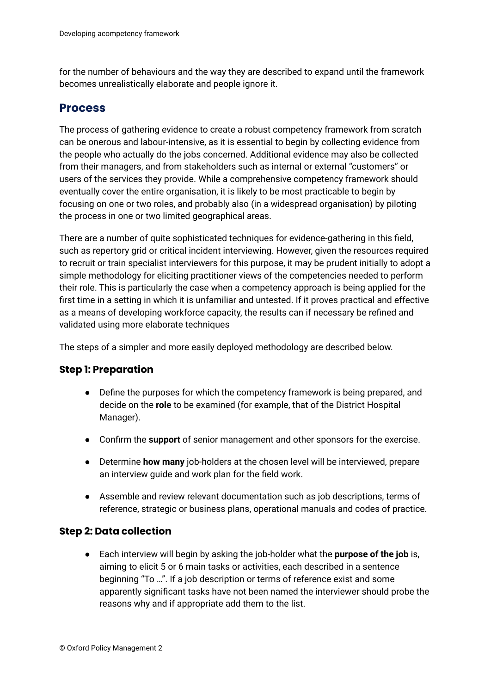for the number of behaviours and the way they are described to expand until the framework becomes unrealistically elaborate and people ignore it.

#### **Process**

The process of gathering evidence to create a robust competency framework from scratch can be onerous and labour-intensive, as it is essential to begin by collecting evidence from the people who actually do the jobs concerned. Additional evidence may also be collected from their managers, and from stakeholders such as internal or external "customers" or users of the services they provide. While a comprehensive competency framework should eventually cover the entire organisation, it is likely to be most practicable to begin by focusing on one or two roles, and probably also (in a widespread organisation) by piloting the process in one or two limited geographical areas.

There are a number of quite sophisticated techniques for evidence-gathering in this field, such as repertory grid or critical incident interviewing. However, given the resources required to recruit or train specialist interviewers for this purpose, it may be prudent initially to adopt a simple methodology for eliciting practitioner views of the competencies needed to perform their role. This is particularly the case when a competency approach is being applied for the first time in a setting in which it is unfamiliar and untested. If it proves practical and effective as a means of developing workforce capacity, the results can if necessary be refined and validated using more elaborate techniques

The steps of a simpler and more easily deployed methodology are described below.

#### **Step 1: Preparation**

- Define the purposes for which the competency framework is being prepared, and decide on the **role** to be examined (for example, that of the District Hospital Manager).
- Confirm the **support** of senior management and other sponsors for the exercise.
- Determine **how many** job-holders at the chosen level will be interviewed, prepare an interview guide and work plan for the field work.
- Assemble and review relevant documentation such as job descriptions, terms of reference, strategic or business plans, operational manuals and codes of practice.

#### **Step 2: Data collection**

● Each interview will begin by asking the job-holder what the **purpose of the job** is, aiming to elicit 5 or 6 main tasks or activities, each described in a sentence beginning "To …". If a job description or terms of reference exist and some apparently significant tasks have not been named the interviewer should probe the reasons why and if appropriate add them to the list.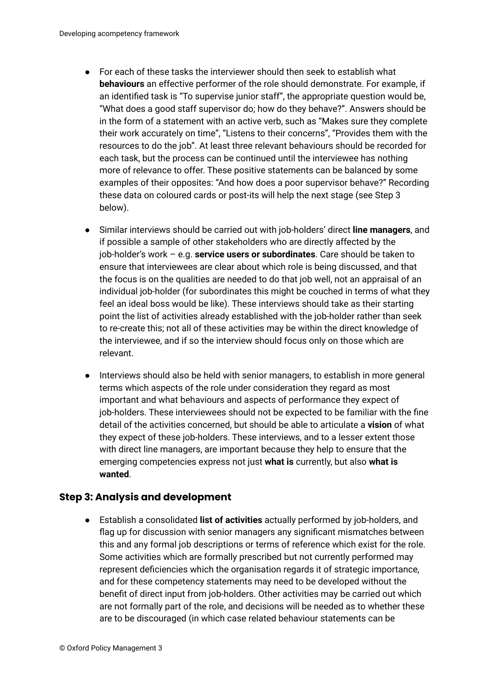- For each of these tasks the interviewer should then seek to establish what **behaviours** an effective performer of the role should demonstrate. For example, if an identified task is "To supervise junior staff", the appropriate question would be, "What does a good staff supervisor do; how do they behave?". Answers should be in the form of a statement with an active verb, such as "Makes sure they complete their work accurately on time", "Listens to their concerns", "Provides them with the resources to do the job". At least three relevant behaviours should be recorded for each task, but the process can be continued until the interviewee has nothing more of relevance to offer. These positive statements can be balanced by some examples of their opposites: "And how does a poor supervisor behave?" Recording these data on coloured cards or post-its will help the next stage (see Step 3 below).
- Similar interviews should be carried out with job-holders' direct **line managers**, and if possible a sample of other stakeholders who are directly affected by the job-holder's work – e.g. **service users or subordinates**. Care should be taken to ensure that interviewees are clear about which role is being discussed, and that the focus is on the qualities are needed to do that job well, not an appraisal of an individual job-holder (for subordinates this might be couched in terms of what they feel an ideal boss would be like). These interviews should take as their starting point the list of activities already established with the job-holder rather than seek to re-create this; not all of these activities may be within the direct knowledge of the interviewee, and if so the interview should focus only on those which are relevant.
- Interviews should also be held with senior managers, to establish in more general terms which aspects of the role under consideration they regard as most important and what behaviours and aspects of performance they expect of job-holders. These interviewees should not be expected to be familiar with the fine detail of the activities concerned, but should be able to articulate a **vision** of what they expect of these job-holders. These interviews, and to a lesser extent those with direct line managers, are important because they help to ensure that the emerging competencies express not just **what is** currently, but also **what is wanted**.

#### **Step 3: Analysis and development**

● Establish a consolidated **list of activities** actually performed by job-holders, and flag up for discussion with senior managers any significant mismatches between this and any formal job descriptions or terms of reference which exist for the role. Some activities which are formally prescribed but not currently performed may represent deficiencies which the organisation regards it of strategic importance, and for these competency statements may need to be developed without the benefit of direct input from job-holders. Other activities may be carried out which are not formally part of the role, and decisions will be needed as to whether these are to be discouraged (in which case related behaviour statements can be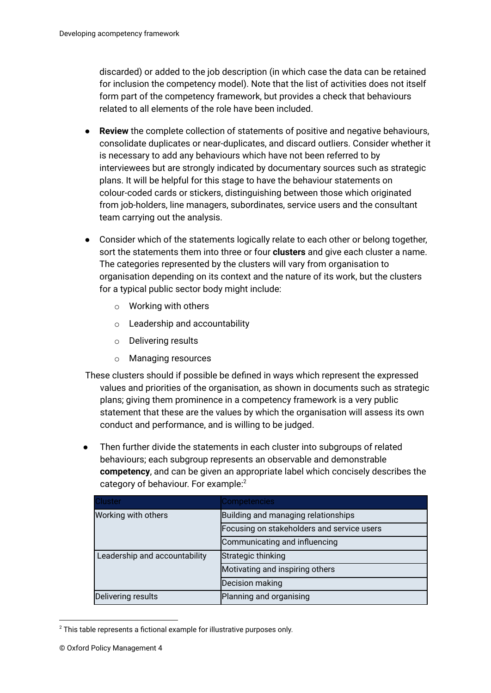discarded) or added to the job description (in which case the data can be retained for inclusion the competency model). Note that the list of activities does not itself form part of the competency framework, but provides a check that behaviours related to all elements of the role have been included.

- **Review** the complete collection of statements of positive and negative behaviours, consolidate duplicates or near-duplicates, and discard outliers. Consider whether it is necessary to add any behaviours which have not been referred to by interviewees but are strongly indicated by documentary sources such as strategic plans. It will be helpful for this stage to have the behaviour statements on colour-coded cards or stickers, distinguishing between those which originated from job-holders, line managers, subordinates, service users and the consultant team carrying out the analysis.
- Consider which of the statements logically relate to each other or belong together, sort the statements them into three or four **clusters** and give each cluster a name. The categories represented by the clusters will vary from organisation to organisation depending on its context and the nature of its work, but the clusters for a typical public sector body might include:
	- o Working with others
	- o Leadership and accountability
	- o Delivering results
	- o Managing resources
- These clusters should if possible be defined in ways which represent the expressed values and priorities of the organisation, as shown in documents such as strategic plans; giving them prominence in a competency framework is a very public statement that these are the values by which the organisation will assess its own conduct and performance, and is willing to be judged.
- Then further divide the statements in each cluster into subgroups of related behaviours; each subgroup represents an observable and demonstrable **competency**, and can be given an appropriate label which concisely describes the category of behaviour. For example:<sup>2</sup>

| Cluster                       | <b>Competencies</b>                        |
|-------------------------------|--------------------------------------------|
| Working with others           | Building and managing relationships        |
|                               | Focusing on stakeholders and service users |
|                               | Communicating and influencing              |
| Leadership and accountability | Strategic thinking                         |
|                               | Motivating and inspiring others            |
|                               | Decision making                            |
| Delivering results            | Planning and organising                    |

 $2$  This table represents a fictional example for illustrative purposes only.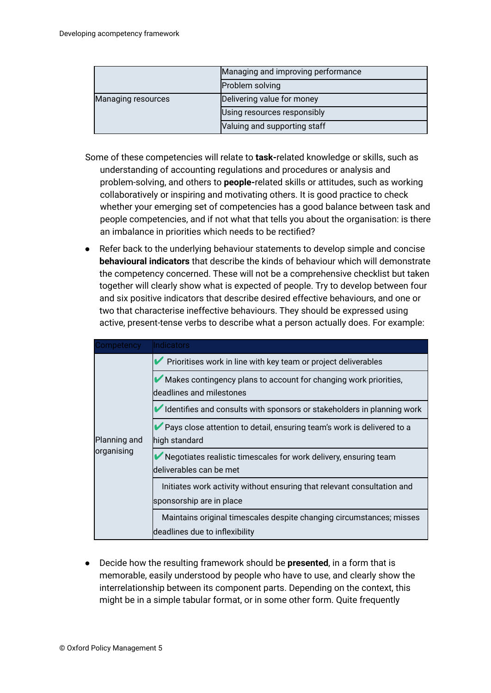|                           | Managing and improving performance |
|---------------------------|------------------------------------|
|                           | Problem solving                    |
| <b>Managing resources</b> | Delivering value for money         |
|                           | Using resources responsibly        |
|                           | Valuing and supporting staff       |

- Some of these competencies will relate to **task-**related knowledge or skills, such as understanding of accounting regulations and procedures or analysis and problem-solving, and others to **people-**related skills or attitudes, such as working collaboratively or inspiring and motivating others. It is good practice to check whether your emerging set of competencies has a good balance between task and people competencies, and if not what that tells you about the organisation: is there an imbalance in priorities which needs to be rectified?
- Refer back to the underlying behaviour statements to develop simple and concise **behavioural indicators** that describe the kinds of behaviour which will demonstrate the competency concerned. These will not be a comprehensive checklist but taken together will clearly show what is expected of people. Try to develop between four and six positive indicators that describe desired effective behaviours, and one or two that characterise ineffective behaviours. They should be expressed using active, present-tense verbs to describe what a person actually does. For example:

| Competency                 | Indicators                                                                                             |
|----------------------------|--------------------------------------------------------------------------------------------------------|
|                            | Prioritises work in line with key team or project deliverables                                         |
|                            | Makes contingency plans to account for changing work priorities,<br>deadlines and milestones           |
|                            | Identifies and consults with sponsors or stakeholders in planning work                                 |
| Planning and<br>organising | Pays close attention to detail, ensuring team's work is delivered to a<br>lhigh standard               |
|                            | Negotiates realistic timescales for work delivery, ensuring team<br>deliverables can be met            |
|                            | Initiates work activity without ensuring that relevant consultation and<br>sponsorship are in place    |
|                            | Maintains original timescales despite changing circumstances; misses<br>deadlines due to inflexibility |

● Decide how the resulting framework should be **presented**, in a form that is memorable, easily understood by people who have to use, and clearly show the interrelationship between its component parts. Depending on the context, this might be in a simple tabular format, or in some other form. Quite frequently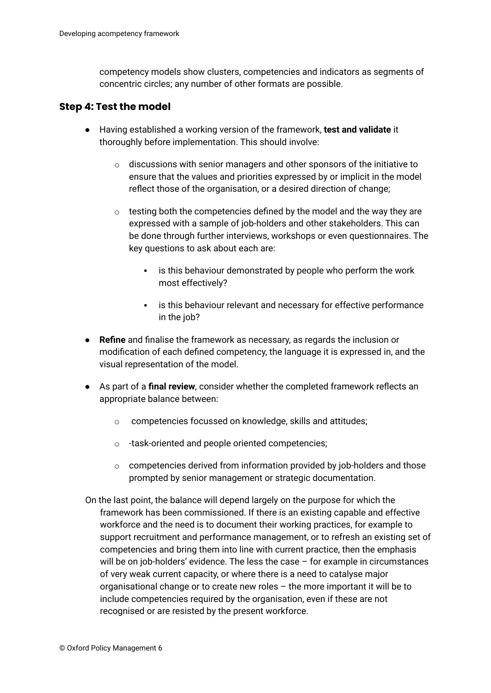competency models show clusters, competencies and indicators as segments of concentric circles; any number of other formats are possible.

#### **Step 4: Test the model**

- Having established a working version of the framework, **test and validate** it thoroughly before implementation. This should involve:
	- $\circ$  discussions with senior managers and other sponsors of the initiative to ensure that the values and priorities expressed by or implicit in the model reflect those of the organisation, or a desired direction of change;
	- $\circ$  testing both the competencies defined by the model and the way they are expressed with a sample of job-holders and other stakeholders. This can be done through further interviews, workshops or even questionnaires. The key questions to ask about each are:
		- **·** is this behaviour demonstrated by people who perform the work most effectively?
		- **EXED is this behaviour relevant and necessary for effective performance** in the job?
- **Refine** and finalise the framework as necessary, as regards the inclusion or modification of each defined competency, the language it is expressed in, and the visual representation of the model.
- As part of a **final review**, consider whether the completed framework reflects an appropriate balance between:
	- o competencies focussed on knowledge, skills and attitudes;
	- o -task-oriented and people oriented competencies;
	- $\circ$  competencies derived from information provided by job-holders and those prompted by senior management or strategic documentation.
- On the last point, the balance will depend largely on the purpose for which the framework has been commissioned. If there is an existing capable and effective workforce and the need is to document their working practices, for example to support recruitment and performance management, or to refresh an existing set of competencies and bring them into line with current practice, then the emphasis will be on job-holders' evidence. The less the case – for example in circumstances of very weak current capacity, or where there is a need to catalyse major organisational change or to create new roles – the more important it will be to include competencies required by the organisation, even if these are not recognised or are resisted by the present workforce.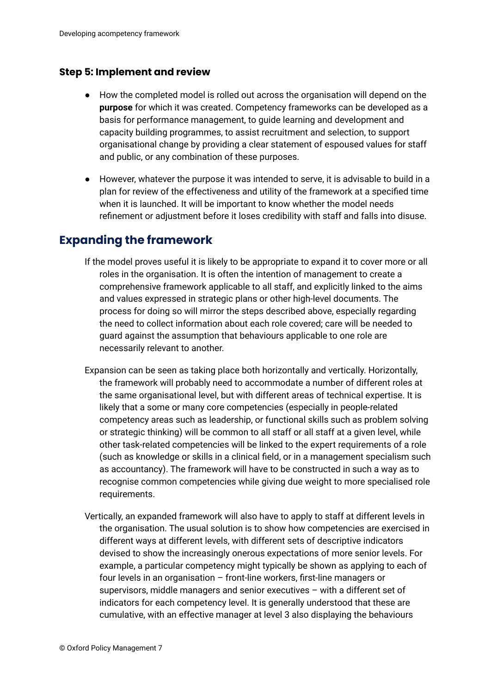#### **Step 5: Implement and review**

- How the completed model is rolled out across the organisation will depend on the **purpose** for which it was created. Competency frameworks can be developed as a basis for performance management, to guide learning and development and capacity building programmes, to assist recruitment and selection, to support organisational change by providing a clear statement of espoused values for staff and public, or any combination of these purposes.
- However, whatever the purpose it was intended to serve, it is advisable to build in a plan for review of the effectiveness and utility of the framework at a specified time when it is launched. It will be important to know whether the model needs refinement or adjustment before it loses credibility with staff and falls into disuse.

### **Expanding the framework**

- If the model proves useful it is likely to be appropriate to expand it to cover more or all roles in the organisation. It is often the intention of management to create a comprehensive framework applicable to all staff, and explicitly linked to the aims and values expressed in strategic plans or other high-level documents. The process for doing so will mirror the steps described above, especially regarding the need to collect information about each role covered; care will be needed to guard against the assumption that behaviours applicable to one role are necessarily relevant to another.
- Expansion can be seen as taking place both horizontally and vertically. Horizontally, the framework will probably need to accommodate a number of different roles at the same organisational level, but with different areas of technical expertise. It is likely that a some or many core competencies (especially in people-related competency areas such as leadership, or functional skills such as problem solving or strategic thinking) will be common to all staff or all staff at a given level, while other task-related competencies will be linked to the expert requirements of a role (such as knowledge or skills in a clinical field, or in a management specialism such as accountancy). The framework will have to be constructed in such a way as to recognise common competencies while giving due weight to more specialised role requirements.
- Vertically, an expanded framework will also have to apply to staff at different levels in the organisation. The usual solution is to show how competencies are exercised in different ways at different levels, with different sets of descriptive indicators devised to show the increasingly onerous expectations of more senior levels. For example, a particular competency might typically be shown as applying to each of four levels in an organisation – front-line workers, first-line managers or supervisors, middle managers and senior executives – with a different set of indicators for each competency level. It is generally understood that these are cumulative, with an effective manager at level 3 also displaying the behaviours